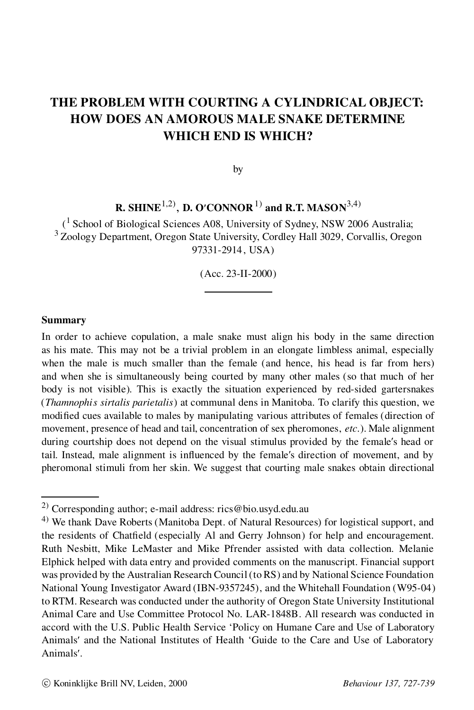# **THE PROBLEM WITH COURTING A CYLINDRICAL OBJECT: HOW DOES AN AMOROUS MALE SNAKE DETERMINE WHICH END IS WHICH?**

by

# **R.**  $\mathbf{SHINE}^{1,2)}$ ,  $\mathbf{D. O'CONNOR}^{1)}$  and  $\mathbf{R.T. MASON}^{3,4)}$

 $(1$  School of Biological Sciences A08, University of Sydney, NSW 2006 Australia; <sup>3</sup> Zoology Department, Oregon State University, Cordley Hall 3029, Corvallis, Oregon 97331-2914, USA)

(Acc. 23-II-2000)

#### **Summary**

In order to achieve copulation, a male snake must align his body in the same direction as his mate. This may not be a trivial problem in an elongate limbless animal, especially when the male is much smaller than the female (and hence, his head is far from hers) and when she is simultaneously being courted by many other males (so that much of her body is not visible). This is exactly the situation experienced by red-sided gartersnakes (*Thamnophis sirtalis parietalis*) at communal dens in Manitoba. To clarify this question, we modified cues available to males by manipulating various attributes of females (direction of movement, presence of head and tail, concentration of sex pheromones, *etc.*). Male alignment during courtship does not depend on the visual stimulus provided by the female's head or tail. Instead, male alignment is influenced by the female's direction of movement, and by pheromonal stimuli from her skin. We suggest that courting male snakes obtain directional

<sup>2)</sup> Corresponding author; e-mail address: rics@bio.usyd.edu.au

<sup>4)</sup> We thank Dave Roberts (Manitoba Dept. of Natural Resources) for logistical support, and the residents of Chatfield (especially Al and Gerry Johnson) for help and encouragement. Ruth Nesbitt, Mike LeMaster and Mike Pfrender assisted with data collection. Melanie Elphick helped with data entry and provided comments on the manuscript. Financial support was provided by the Australian Research Council(toRS) and by National Science Foundation National Young Investigator Award (IBN-9357245), and the Whitehall Foundation (W95-04) to RTM. Research was conducted under the authority of Oregon State University Institutional Animal Care and Use Committee Protocol No. LAR-1848B. All research was conducted in accord with the U.S. Public Health Service 'Policy on Humane Care and Use of Laboratory Animals¢ and the National Institutes of Health 'Guide to the Care and Use of Laboratory Animals'.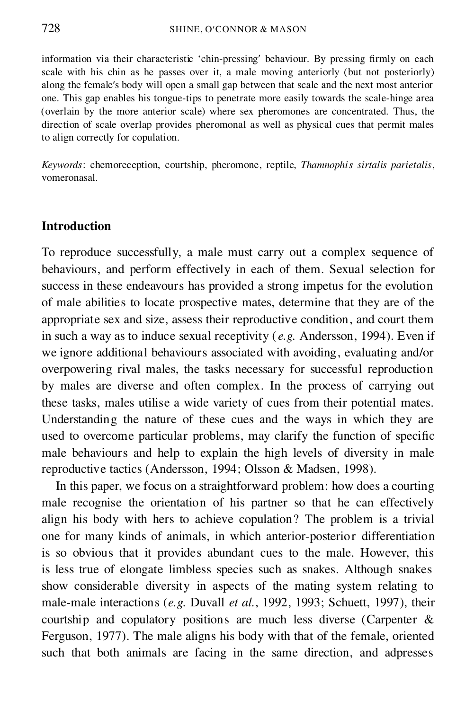information via their characteristic 'chin-pressing' behaviour. By pressing firmly on each scale with his chin as he passes over it, a male moving anteriorly (but not posteriorly) along the female¢s body will open a small gap between that scale and the next most anterior one. This gap enables his tongue-tips to penetrate more easily towards the scale-hinge area (overlain by the more anterior scale) where sex pheromones are concentrated. Thus, the direction of scale overlap provides pheromonal as well as physical cues that permit males to align correctly for copulation.

*Keywords*: chemoreception, courtship, pheromone, reptile, *Thamnophis sirtalis parietalis*, vomeronasal.

### **Introduction**

To reproduce successfully, a male must carry out a complex sequence of behaviours, and perform effectively in each of them. Sexual selection for success in these endeavours has provided a strong impetus for the evolution of male abilities to locate prospective mates, determine that they are of the appropriate sex and size, assess their reproductive condition, and court them in such a way as to induce sexual receptivity (*e.g.* Andersson, 1994). Even if we ignore additional behaviours associated with avoiding, evaluating and/or overpowering rival males, the tasks necessary for successful reproduction by males are diverse and often complex. In the process of carrying out these tasks, males utilise a wide variety of cues from their potential mates. Understanding the nature of these cues and the ways in which they are used to overcome particular problems, may clarify the function of specific male behaviours and help to explain the high levels of diversity in male reproductive tactics (Andersson, 1994; Olsson & Madsen, 1998).

In this paper, we focus on a straightforward problem: how does a courting male recognise the orientation of his partner so that he can effectively align his body with hers to achieve copulation? The problem is a trivial one for many kinds of animals, in which anterior-posterior differentiation is so obvious that it provides abundant cues to the male. However, this is less true of elongate limbless species such as snakes. Although snakes show considerable diversity in aspects of the mating system relating to male-male interactions (*e.g.* Duvall *et al.*, 1992, 1993; Schuett, 1997), their courtship and copulatory positions are much less diverse (Carpenter & Ferguson, 1977). The male aligns his body with that of the female, oriented such that both animals are facing in the same direction, and adpresses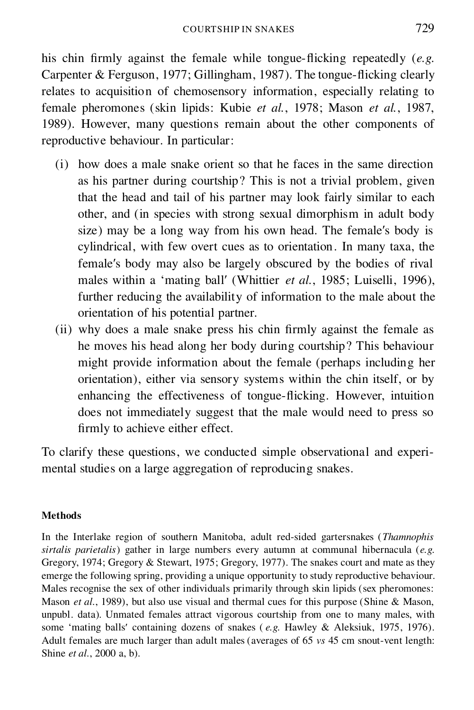his chin firmly against the female while tongue-flicking repeatedly (*e.g.*) Carpenter & Ferguson, 1977; Gillingham, 1987). The tongue-flicking clearly relates to acquisition of chemosensory information, especially relating to female pheromones (skin lipids: Kubie *et al.*, 1978; Mason *et al.*, 1987, 1989). However, many questions remain about the other components of reproductive behaviour. In particular:

- (i) how does a male snake orient so that he faces in the same direction as his partner during courtship? This is not a trivial problem, given that the head and tail of his partner may look fairly similar to each other, and (in species with strong sexual dimorphism in adult body size) may be a long way from his own head. The female's body is cylindrical, with few overt cues as to orientation. In many taxa, the female¢s body may also be largely obscured by the bodies of rival males within a 'mating ball' (Whittier *et al.*, 1985; Luiselli, 1996), further reducing the availability of information to the male about the orientation of his potential partner.
- (ii) why does a male snake press his chin firmly against the female as he moves his head along her body during courtship? This behaviour might provide information about the female (perhaps including her orientation), either via sensory systems within the chin itself, or by enhancing the effectiveness of tongue-flicking. However, intuition does not immediately suggest that the male would need to press so firmly to achieve either effect.

To clarify these questions, we conducted simple observational and experi mental studies on a large aggregation of reproducing snakes.

### **Methods**

In the Interlake region of southern Manitoba, adult red-sided gartersnakes (*Thamnophis sirtalis parietalis*) gather in large numbers every autumn at communal hibernacula (*e.g.* Gregory, 1974; Gregory & Stewart, 1975; Gregory, 1977). The snakes court and mate as they emerge the following spring, providing a unique opportunity to study reproductive behaviour. Males recognise the sex of other individuals primarily through skin lipids (sex pheromones: Mason *et al.*, 1989), but also use visual and thermal cues for this purpose (Shine & Mason, unpubl. data). Unmated females attract vigorous courtship from one to many males, with some 'mating balls' containing dozens of snakes (*e.g.* Hawley & Aleksiuk, 1975, 1976). Adult females are much larger than adult males (averages of 65 *vs* 45 cm snout-vent length: Shine *et al.*, 2000 a, b).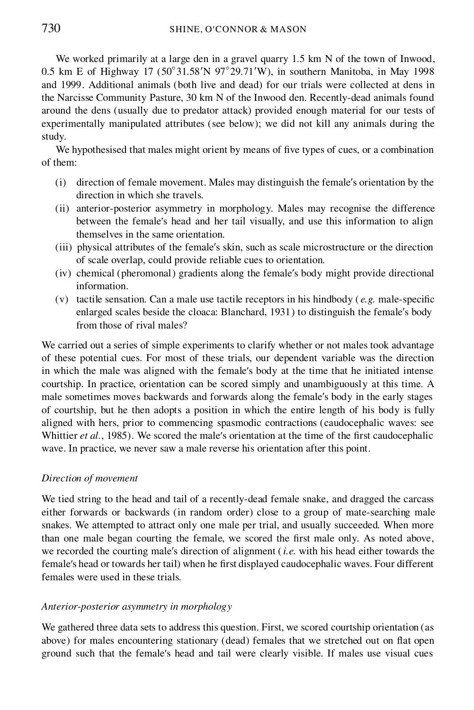We worked primarily at a large den in a gravel quarry 1.5 km N of the town of Inwood, 0.5 km E of Highway 17 (50°31.58′N 97°29.71′W), in southern Manitoba, in May 1998 and 1999. Additional animals (both live and dead) for our trials were collected at dens in the Narcisse Community Pasture, 30 km N of the Inwood den. Recently-dead animals found around the dens (usually due to predator attack) provided enough material for our tests of experimentally manipulated attributes (see below); we did not kill any animals during the study.

We hypothesised that males might orient by means of five types of cues, or a combination of them:

- (i) direction of female movement. Males may distinguish the female¢s orientation by the direction in which she travels.
- (ii) anterior-posterior asymmetry in morphology. Males may recognise the difference between the female's head and her tail visually, and use this information to align themselves in the same orientation.
- (iii) physical attributes of the female¢s skin, such as scale microstructure or the direction of scale overlap, could provide reliable cues to orientation.
- (iv) chemical (pheromonal) gradients along the female¢s body might provide directional information.
- (v) tactile sensation. Can a male use tactile receptors in his hindbody ( $e.g.$  male-specific enlarged scales beside the cloaca: Blanchard, 1931) to distinguish the female¢s body from those of rival males?

We carried out a series of simple experiments to clarify whether or not males took advantage of these potential cues. For most of these trials, our dependent variable was the direction in which the male was aligned with the female¢s body at the time that he initiated intense courtship. In practice, orientation can be scored simply and unambiguously at this time. A male sometimes moves backwards and forwards along the female¢s body in the early stages of courtship, but he then adopts a position in which the entire length of his body is fully aligned with hers, prior to commencing spasmodic contractions (caudocephalic waves: see Whittier *et al.*, 1985). We scored the male's orientation at the time of the first caudocephalic wave. In practice, we never saw a male reverse his orientation after this point.

### *Direction of movement*

We tied string to the head and tail of a recently-dead female snake, and dragged the carcass either forwards or backwards (in random order) close to a group of mate-searching male snakes. We attempted to attract only one male per trial, and usually succeeded. When more than one male began courting the female, we scored the first male only. As noted above, we recorded the courting male¢s direction of alignment (*i.e.* with his head either towards the female's head or towards her tail) when he first displayed caudocephalic waves. Four different females were used in these trials.

### *Anterior-posterior asymmetry in morphology*

We gathered three data sets to address this question. First, we scored courtship orientation (as above) for males encountering stationary (dead) females that we stretched out on flat open ground such that the female¢s head and tail were clearly visible. If males use visual cues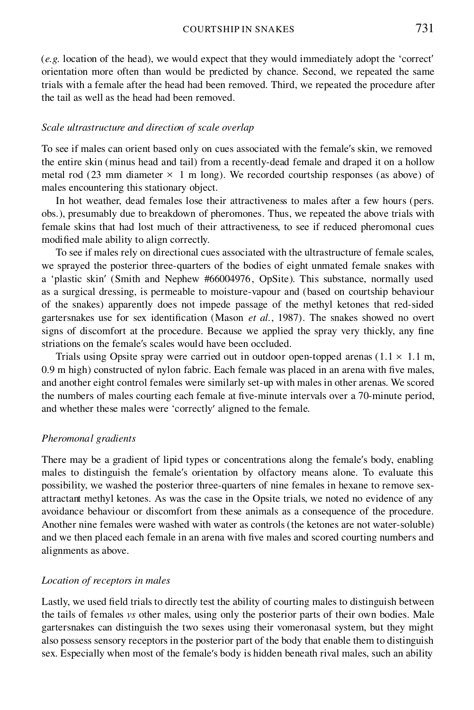$(e.g.$  location of the head), we would expect that they would immediately adopt the 'correct' orientation more often than would be predicted by chance. Second, we repeated the same trials with a female after the head had been removed. Third, we repeated the procedure after the tail as well as the head had been removed.

#### *Scale ultrastructure and direction of scale overlap*

To see if males can orient based only on cues associated with the female¢s skin, we removed the entire skin (minus head and tail) from a recently-dead female and draped it on a hollow metal rod (23 mm diameter  $\times$  1 m long). We recorded courtship responses (as above) of males encountering this stationary object.

In hot weather, dead females lose their attractiveness to males after a few hours (pers. obs.), presumably due to breakdown of pheromones. Thus, we repeated the above trials with female skins that had lost much of their attractiveness, to see if reduced pheromonal cues modified male ability to align correctly.

To see if males rely on directional cues associated with the ultrastructure of female scales, we sprayed the posterior three-quarters of the bodies of eight unmated female snakes with a 'plastic skin¢ (Smith and Nephew #66004976, OpSite). This substance, normally used as a surgical dressing, is permeable to moisture-vapour and (based on courtship behaviour of the snakes) apparently does not impede passage of the methyl ketones that red-sided gartersnakes use for sex identification (Mason *et al.*, 1987). The snakes showed no overt signs of discomfort at the procedure. Because we applied the spray very thickly, any fine striations on the female's scales would have been occluded.

Trials using Opsite spray were carried out in outdoor open-topped arenas ( $1.1 \times 1.1$  m, 0.9 m high) constructed of nylon fabric. Each female was placed in an arena with five males, and another eight control females were similarly set-up with males in other arenas. We scored the numbers of males courting each female at five-minute intervals over a 70-minute period, and whether these males were 'correctly' aligned to the female.

#### *Pheromonal gradients*

There may be a gradient of lipid types or concentrations along the female¢s body, enabling males to distinguish the female's orientation by olfactory means alone. To evaluate this possibility, we washed the posterior three-quarters of nine females in hexane to remove sex attractant methyl ketones. As was the case in the Opsite trials, we noted no evidence of any avoidance behaviour or discomfort from these animals as a consequence of the procedure. Another nine females were washed with water as controls(the ketones are not water-soluble) and we then placed each female in an arena with five males and scored courting numbers and alignments as above.

#### *Location of receptors in males*

Lastly, we used field trials to directly test the ability of courting males to distinguish between the tails of females *vs* other males, using only the posterior parts of their own bodies. Male gartersnakes can distinguish the two sexes using their vomeronasal system, but they might also possess sensory receptors in the posterior part of the body that enable them to distinguish sex. Especially when most of the female¢s body is hidden beneath rival males, such an ability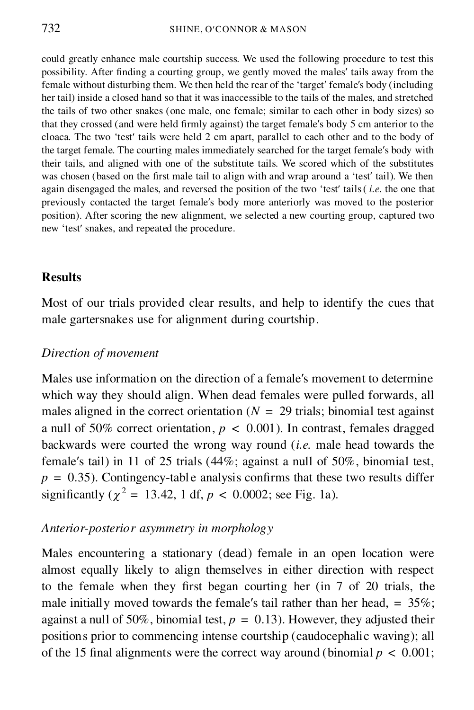could greatly enhance male courtship success. We used the following procedure to test this possibility. After finding a courting group, we gently moved the males' tails away from the female without disturbing them. We then held the rear of the 'target' female's body (including her tail) inside a closed hand so that it was inaccessible to the tails of the males, and stretched the tails of two other snakes (one male, one female; similar to each other in body sizes) so that they crossed (and were held firmly against) the target female's body 5 cm anterior to the cloaca. The two 'test' tails were held 2 cm apart, parallel to each other and to the body of the target female. The courting males immediately searched for the target female's body with their tails, and aligned with one of the substitute tails. We scored which of the substitutes was chosen (based on the first male tail to align with and wrap around a 'test' tail). We then again disengaged the males, and reversed the position of the two 'test' tails (*i.e.* the one that previously contacted the target female¢s body more anteriorly was moved to the posterior position). After scoring the new alignment, we selected a new courting group, captured two new 'test' snakes, and repeated the procedure.

## **Results**

Most of our trials provided clear results, and help to identify the cues that male gartersnakes use for alignment during courtship.

## *Direction of movement*

Males use information on the direction of a female's movement to determine which way they should align. When dead females were pulled forwards, all males aligned in the correct orientation  $(N = 29$  trials; binomial test against a null of 50% correct orientation,  $p < 0.001$ ). In contrast, females dragged backwards were courted the wrong way round (*i.e.* male head towards the female¢s tail) in 11 of 25 trials (44%; against a null of 50%, binomial test,  $p = 0.35$ ). Contingency-table analysis confirms that these two results differ significantly ( $\chi^2 = 13.42$ , 1 df,  $p < 0.0002$ ; see Fig. 1a).

## *Anterior-posterior asymmetry in morphology*

Males encountering a stationary (dead) female in an open location were almost equally likely to align themselves in either direction with respect to the female when they first began courting her (in  $7$  of  $20$  trials, the male initially moved towards the female's tail rather than her head,  $= 35\%$ ; against a null of 50%, binomial test,  $p = 0.13$ ). However, they adjusted their positions prior to commencing intense courtship (caudocephalic waving); all of the 15 final alignments were the correct way around (binomial  $p < 0.001$ ;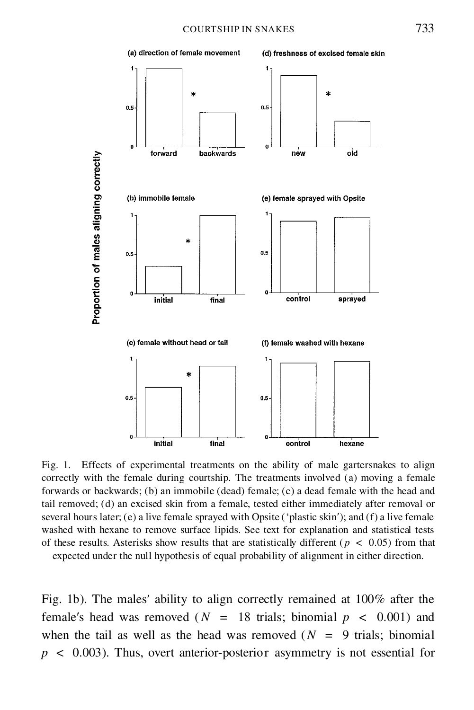

Fig. 1. Effects of experimental treatments on the ability of male gartersnakes to align correctly with the female during courtship. The treatments involved (a) moving a female forwards or backwards; (b) an immobile (dead) female; (c) a dead female with the head and tail removed; (d) an excised skin from a female, tested either immediately after removal or several hours later; (e) a live female sprayed with Opsite ('plastic skin'); and (f) a live female washed with hexane to remove surface lipids. See text for explanation and statistical tests of these results. Asterisks show results that are statistically different ( $p < 0.05$ ) from that expected under the null hypothesis of equal probability of alignment in either direction.

Fig. 1b). The males' ability to align correctly remained at 100% after the female's head was removed ( $N = 18$  trials; binomial  $p < 0.001$ ) and when the tail as well as the head was removed ( $N = 9$  trials; binomial *p* < 0.003). Thus, overt anterior-posterior asymmetry is not essential for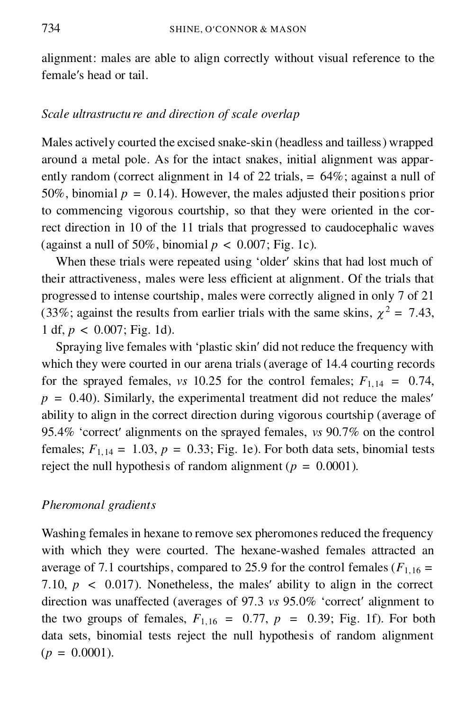alignment: males are able to align correctly without visual reference to the female¢s head or tail.

## *Scale ultrastructu re and direction of scale overlap*

Males actively courted the excised snake-skin (headless and tailless) wrapped around a metal pole. As for the intact snakes, initial alignment was appar ently random (correct alignment in 14 of 22 trials, = 64%; against a null of 50%, binomial  $p = 0.14$ ). However, the males adjusted their positions prior to commencing vigorous courtship, so that they were oriented in the correct direction in 10 of the 11 trials that progressed to caudocephalic waves (against a null of 50%, binomial  $p < 0.007$ ; Fig. 1c).

When these trials were repeated using 'older' skins that had lost much of their attractiveness, males were less efficient at alignment. Of the trials that progressed to intense courtship, males were correctly aligned in only 7 of 21 (33%; against the results from earlier trials with the same skins,  $\chi^2 = 7.43$ , 1 df,  $p < 0.007$ ; Fig. 1d).

Spraying live females with 'plastic skin¢ did not reduce the frequency with which they were courted in our arena trials(average of 14.4 courting records for the sprayed females, *vs* 10.25 for the control females;  $F_{1,14} = 0.74$ ,  $p = 0.40$ ). Similarly, the experimental treatment did not reduce the males<sup>'</sup> ability to align in the correct direction during vigorous courtship (average of 95.4% 'correct¢ alignments on the sprayed females, *vs* 90.7% on the control females;  $F_{1,14} = 1.03$ ,  $p = 0.33$ ; Fig. 1e). For both data sets, binomial tests reject the null hypothesis of random alignment ( $p = 0.0001$ ).

## *Pheromonal gradients*

Washing females in hexane to remove sex pheromones reduced the frequency with which they were courted. The hexane-washed females attracted an average of 7.1 courtships, compared to 25.9 for the control females ( $F_{1,16}$  = 7.10,  $p \leq 0.017$ ). Nonetheless, the males' ability to align in the correct direction was unaffected (averages of 97.3 *vs* 95.0% 'correct' alignment to the two groups of females,  $F_{1,16} = 0.77$ ,  $p = 0.39$ ; Fig. 1f). For both data sets, binomial tests reject the null hypothesis of random alignment  $(p = 0.0001)$ .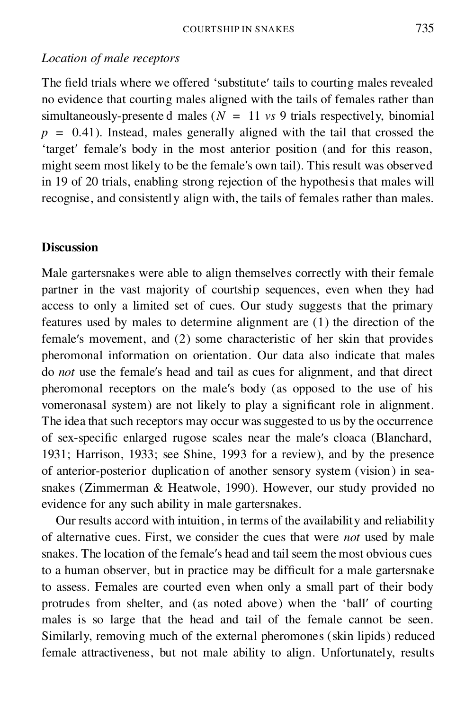### *Location of male receptors*

The field trials where we offered 'substitute' tails to courting males revealed no evidence that courting males aligned with the tails of females rather than simultaneously-presente d males ( $N = 11$  *vs* 9 trials respectively, binomial  $p = 0.41$ ). Instead, males generally aligned with the tail that crossed the 'target' female's body in the most anterior position (and for this reason, might seem most likely to be the female's own tail). This result was observed in 19 of 20 trials, enabling strong rejection of the hypothesis that males will recognise, and consistently align with, the tails of females rather than males.

## **Discussion**

Male gartersnakes were able to align themselves correctly with their female partner in the vast majority of courtship sequences, even when they had access to only a limited set of cues. Our study suggests that the primary features used by males to determine alignment are (1) the direction of the female's movement, and (2) some characteristic of her skin that provides pheromonal information on orientation. Our data also indicate that males do *not* use the female¢s head and tail as cues for alignment, and that direct pheromonal receptors on the male¢s body (as opposed to the use of his vomeronasal system) are not likely to play a significant role in alignment. The idea that such receptors may occur wassuggested to us by the occurrence of sex-specific enlarged rugose scales near the male's cloaca (Blanchard, 1931; Harrison, 1933; see Shine, 1993 for a review), and by the presence of anterior-posterior duplication of another sensory system (vision) in seasnakes (Zimmerman & Heatwole, 1990). However, our study provided no evidence for any such ability in male gartersnakes.

Our results accord with intuition, in terms of the availability and reliability of alternative cues. First, we consider the cues that were *not* used by male snakes. The location of the female¢s head and tail seem the most obvious cues to a human observer, but in practice may be difficult for a male gartersnake to assess. Females are courted even when only a small part of their body protrudes from shelter, and (as noted above) when the 'ball' of courting males is so large that the head and tail of the female cannot be seen. Similarly, removing much of the external pheromones (skin lipids) reduced female attractiveness, but not male ability to align. Unfortunately, results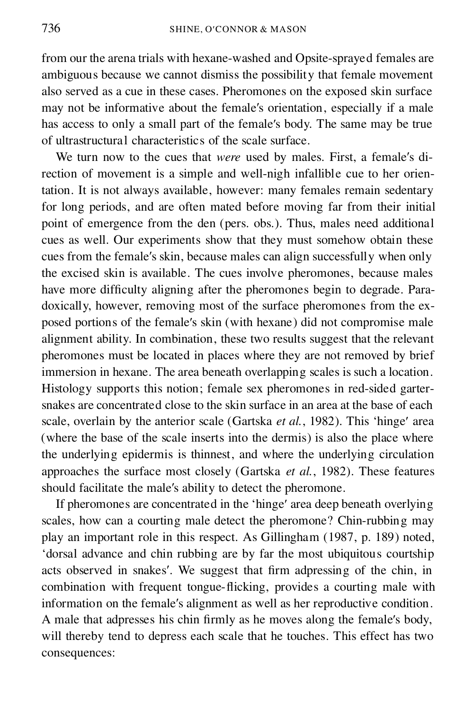from our the arena trials with hexane-washed and Opsite-sprayed females are ambiguous because we cannot dismiss the possibility that female movement also served as a cue in these cases. Pheromones on the exposed skin surface may not be informative about the female's orientation, especially if a male has access to only a small part of the female's body. The same may be true of ultrastructural characteristics of the scale surface.

We turn now to the cues that *were* used by males. First, a female's direction of movement is a simple and well-nigh infallible cue to her orientation. It is not always available, however: many females remain sedentary for long periods, and are often mated before moving far from their initial point of emergence from the den (pers. obs.). Thus, males need additional cues as well. Our experiments show that they must somehow obtain these cues from the female¢s skin, because males can align successfully when only the excised skin is available. The cues involve pheromones, because males have more difficulty aligning after the pheromones begin to degrade. Paradoxically, however, removing most of the surface pheromones from the ex posed portions of the female¢s skin (with hexane) did not compromise male alignment ability. In combination, these two results suggest that the relevant pheromones must be located in places where they are not removed by brief immersion in hexane. The area beneath overlapping scales is such a location. Histology supports this notion; female sex pheromones in red-sided gartersnakes are concentrated close to the skin surface in an area at the base of each scale, overlain by the anterior scale (Gartska *et al.*, 1982). This 'hinge' area (where the base of the scale inserts into the dermis) is also the place where the underlying epidermis is thinnest, and where the underlying circulation approaches the surface most closely (Gartska *et al.*, 1982). These features should facilitate the male's ability to detect the pheromone.

If pheromones are concentrated in the 'hinge' area deep beneath overlying scales, how can a courting male detect the pheromone? Chin-rubbing may play an important role in this respect. As Gillingham (1987, p. 189) noted, 'dorsal advance and chin rubbing are by far the most ubiquitous courtship acts observed in snakes'. We suggest that firm adpressing of the chin, in combination with frequent tongue-flicking, provides a courting male with information on the female's alignment as well as her reproductive condition. A male that adpresses his chin firmly as he moves along the female's body, will thereby tend to depress each scale that he touches. This effect has two consequences: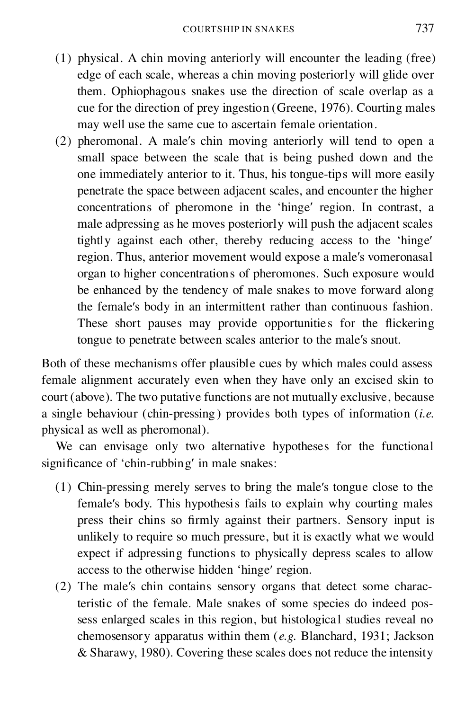- (1) physical. A chin moving anteriorly will encounter the leading (free) edge of each scale, whereas a chin moving posteriorly will glide over them. Ophiophagous snakes use the direction of scale overlap as a cue for the direction of prey ingestion (Greene, 1976). Courting males may well use the same cue to ascertain female orientation.
- (2) pheromonal. A male¢s chin moving anteriorly will tend to open a small space between the scale that is being pushed down and the one immediately anterior to it. Thus, his tongue-tips will more easily penetrate the space between adjacent scales, and encounter the higher concentrations of pheromone in the 'hinge' region. In contrast, a male adpressing as he moves posteriorly will push the adjacent scales tightly against each other, thereby reducing access to the 'hinge' region. Thus, anterior movement would expose a male's vomeronasal organ to higher concentrations of pheromones. Such exposure would be enhanced by the tendency of male snakes to move forward along the female¢s body in an intermittent rather than continuous fashion. These short pauses may provide opportunities for the flickering tongue to penetrate between scales anterior to the male's snout.

Both of these mechanisms offer plausible cues by which males could assess female alignment accurately even when they have only an excised skin to court (above). The two putative functions are not mutually exclusive, because a single behaviour (chin-pressing) provides both types of information (*i.e.* physical as well as pheromonal).

We can envisage only two alternative hypotheses for the functional significance of 'chin-rubbing' in male snakes:

- (1) Chin-pressing merely serves to bring the male¢s tongue close to the female¢s body. This hypothesis fails to explain why courting males press their chins so firmly against their partners. Sensory input is unlikely to require so much pressure, but it is exactly what we would expect if adpressing functions to physically depress scales to allow access to the otherwise hidden 'hinge' region.
- (2) The male¢s chin contains sensory organs that detect some characteristic of the female. Male snakes of some species do indeed possess enlarged scales in this region, but histological studies reveal no chemosensory apparatus within them (*e.g.* Blanchard, 1931; Jackson & Sharawy, 1980). Covering these scales does not reduce the intensity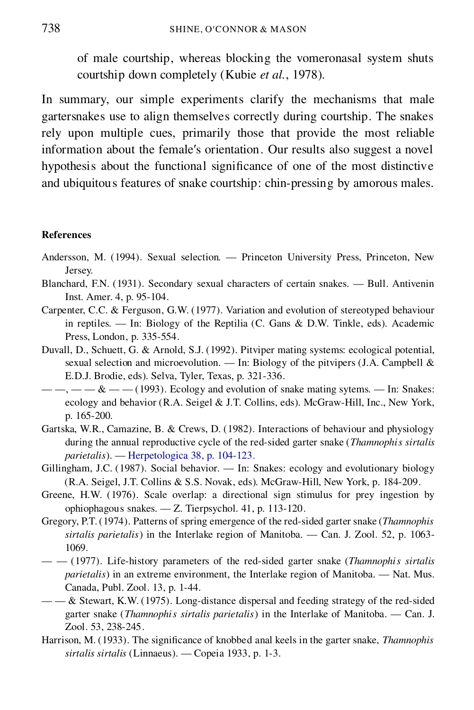of male courtship, whereas blocking the vomeronasal system shuts courtship down completely (Kubie *et al.*, 1978).

In summary, our simple experiments clarify the mechanisms that male gartersnakes use to align themselves correctly during courtship. The snakes rely upon multiple cues, primarily those that provide the most reliable information about the female's orientation. Our results also suggest a novel hypothesis about the functional significance of one of the most distinctive and ubiquitous features of snake courtship: chin-pressing by amorous males.

### **References**

- Andersson, M. (1994). Sexual selection. Princeton University Press, Princeton, New Jersey.
- Blanchard, F.N. (1931). Secondary sexual characters of certain snakes. Bull.Antivenin Inst. Amer. 4, p. 95-104.
- Carpenter, C.C. & Ferguson, G.W. (1977). Variation and evolution of stereotyped behaviour in reptiles. — In: Biology of the Reptilia (C. Gans & D.W. Tinkle, eds). Academic Press, London, p. 335-554.
- Duvall, D., Schuett, G. & Arnold, S.J. (1992). Pitviper mating systems: ecological potential, sexual selection and microevolution. — In: Biology of the pitvipers (J.A. Campbell  $\&$ E.D.J. Brodie, eds). Selva, Tyler, Texas, p. 321-336.
- $-\frac{1}{2} \frac{k}{6} (1993)$ . Ecology and evolution of snake mating sytems.  $-\ln 2$  Snakes: ecology and behavior (R.A. Seigel & J.T. Collins, eds). McGraw-Hill, Inc., New York, p. 165-200.
- Gartska, W.R., Camazine, B. & Crews, D. (1982). Interactions of behaviour and physiology during the annual reproductive cycle of the red-sided garter snake (*Thamnophis sirtalis parietalis*). — [Herpetologica](http://gessler.catchword.com/nw=1/rpsv/cgi-bin/linker?ext=a&reqidx=/0018-0831^28^2938L.104[aid=30865,csa=0018-0831^26vol=38^26iss=1^26firstpage=104]) 38, p. 104-123.
- Gillingham, J.C. (1987). Social behavior. In: Snakes: ecology and evolutionary biology (R.A. Seigel, J.T. Collins & S.S. Novak, eds). McGraw-Hill, New York, p. 184-209.
- Greene, H.W. (1976). Scale overlap: a directional sign stimulus for prey ingestion by ophiophagous snakes. — Z. Tierpsychol. 41, p. 113-120.
- Gregory, P.T.(1974). Patterns of spring emergence of the red-sided garter snake (*Thamnophis sirtalis parietalis*) in the Interlake region of Manitoba. — Can. J. Zool. 52, p. 1063- 1069.
- — (1977). Life-history parameters of the red-sided garter snake (*Thamnophis sirtalis parietalis*) in an extreme environment, the Interlake region of Manitoba. — Nat. Mus. Canada, Publ. Zool. 13, p. 1-44.
- $\frac{1}{2}$  Stewart, K.W. (1975). Long-distance dispersal and feeding strategy of the red-sided garter snake (*Thamnophis sirtalis parietalis*) in the Interlake of Manitoba. — Can. J. Zool. 53, 238-245.
- Harrison, M. (1933). The significance of knobbed anal keels in the garter snake, *Thamnophis sirtalis sirtalis* (Linnaeus). — Copeia 1933, p. 1-3.